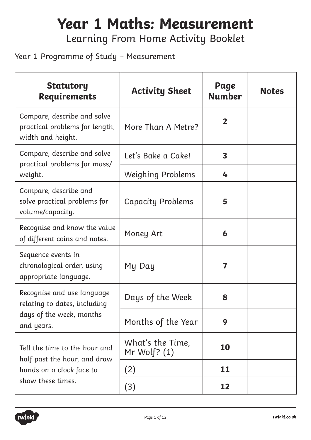# **Year 1 Maths: Measurement**

Learning From Home Activity Booklet

#### Year 1 Programme of Study – Measurement

| <b>Statutory</b><br><b>Requirements</b>                                            | <b>Activity Sheet</b>              | Page<br><b>Number</b>   | <b>Notes</b> |
|------------------------------------------------------------------------------------|------------------------------------|-------------------------|--------------|
| Compare, describe and solve<br>practical problems for length,<br>width and height. | More Than A Metre?                 | $\overline{2}$          |              |
| Compare, describe and solve<br>practical problems for mass/                        | Let's Bake a Cake!                 | $\overline{\mathbf{3}}$ |              |
| weight.                                                                            | <b>Weighing Problems</b>           | 4                       |              |
| Compare, describe and<br>solve practical problems for<br>volume/capacity.          | <b>Capacity Problems</b>           | 5                       |              |
| Recognise and know the value<br>of different coins and notes.                      | Money Art                          | 6                       |              |
| Sequence events in<br>chronological order, using<br>appropriate language.          | My Day                             | 7                       |              |
| Recognise and use language<br>relating to dates, including                         | Days of the Week                   | 8                       |              |
| days of the week, months<br>and years.                                             | Months of the Year                 | 9                       |              |
| Tell the time to the hour and                                                      | What's the Time,<br>Mr Wolf? $(1)$ | 10                      |              |
| half past the hour, and draw<br>hands on a clock face to                           | (2)                                | 11                      |              |
| show these times.                                                                  | (3)                                | 12                      |              |

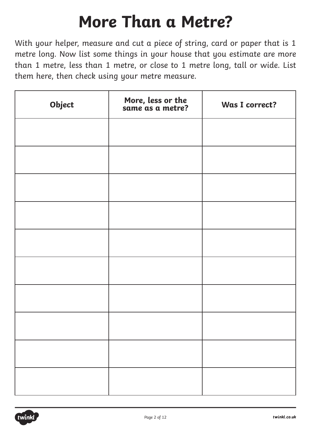### **More Than a Metre?**

With your helper, measure and cut a piece of string, card or paper that is 1 metre long. Now list some things in your house that you estimate are more than 1 metre, less than 1 metre, or close to 1 metre long, tall or wide. List them here, then check using your metre measure.

| Object | More, less or the<br>same as a metre? | Was I correct? |
|--------|---------------------------------------|----------------|
|        |                                       |                |
|        |                                       |                |
|        |                                       |                |
|        |                                       |                |
|        |                                       |                |
|        |                                       |                |
|        |                                       |                |
|        |                                       |                |
|        |                                       |                |
|        |                                       |                |

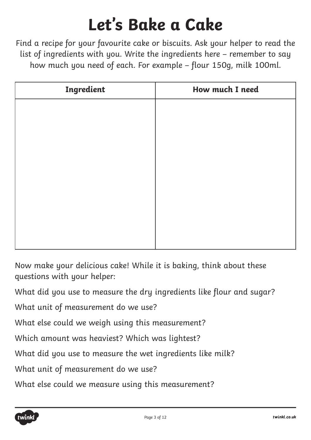## **Let's Bake a Cake**

Find a recipe for your favourite cake or biscuits. Ask your helper to read the list of ingredients with you. Write the ingredients here – remember to say how much you need of each. For example – flour 150g, milk 100ml.

| Ingredient | How much I need |  |  |
|------------|-----------------|--|--|
|            |                 |  |  |
|            |                 |  |  |
|            |                 |  |  |
|            |                 |  |  |
|            |                 |  |  |
|            |                 |  |  |
|            |                 |  |  |
|            |                 |  |  |
|            |                 |  |  |

Now make your delicious cake! While it is baking, think about these questions with your helper:

What did you use to measure the dry ingredients like flour and sugar?

What unit of measurement do we use?

What else could we weigh using this measurement?

Which amount was heaviest? Which was lightest?

What did you use to measure the wet ingredients like milk?

What unit of measurement do we use?

What else could we measure using this measurement?

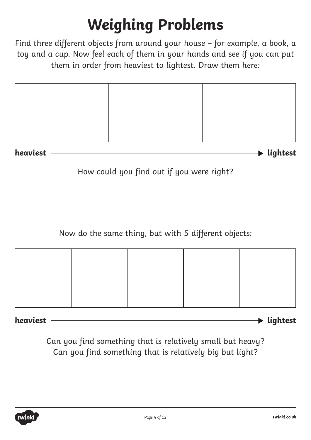#### **Weighing Problems**

Find three different objects from around your house – for example, a book, a toy and a cup. Now feel each of them in your hands and see if you can put them in order from heaviest to lightest. Draw them here:

**heaviest lightest** 

How could you find out if you were right?

Now do the same thing, but with 5 different objects:

**heaviest lightest** 

Can you find something that is relatively small but heavy? Can you find something that is relatively big but light?

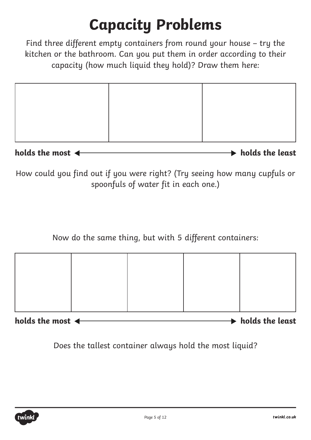#### **Capacity Problems**

Find three different empty containers from round your house – try the kitchen or the bathroom. Can you put them in order according to their capacity (how much liquid they hold)? Draw them here:

holds the most  $\leftarrow$ 

How could you find out if you were right? (Try seeing how many cupfuls or spoonfuls of water fit in each one.)

Now do the same thing, but with 5 different containers:



holds the most  $\leftarrow$ 

Does the tallest container always hold the most liquid?

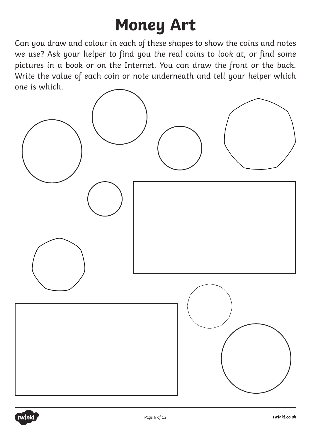## **Money Art**

Can you draw and colour in each of these shapes to show the coins and notes we use? Ask your helper to find you the real coins to look at, or find some pictures in a book or on the Internet. You can draw the front or the back. Write the value of each coin or note underneath and tell your helper which one is which.



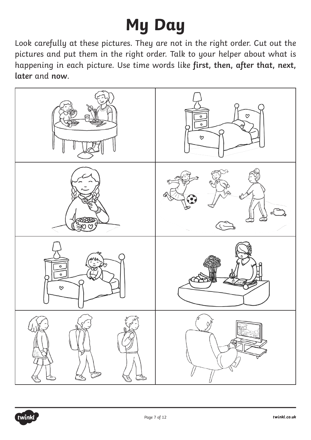# **My Day**

Look carefully at these pictures. They are not in the right order. Cut out the pictures and put them in the right order. Talk to your helper about what is happening in each picture. Use time words like **first, then, after that, next, later** and **now**.



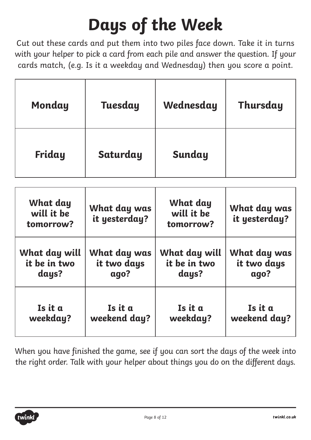# **Days of the Week**

Cut out these cards and put them into two piles face down. Take it in turns with your helper to pick a card from each pile and answer the question. If your cards match, (e.g. Is it a weekday and Wednesday) then you score a point.

| Monday                                 | Tuesday                             | Wednesday                                  | Thursday                            |
|----------------------------------------|-------------------------------------|--------------------------------------------|-------------------------------------|
| Friday                                 | Saturday                            | Sunday                                     |                                     |
| What day<br>will it be<br>tomorrow?    | What day was<br>it yesterday?       | <b>What day</b><br>will it be<br>tomorrow? | What day was<br>it yesterday?       |
| What day will<br>it be in two<br>days? | What day was<br>it two days<br>ago? | What day will<br>it be in two<br>days?     | What day was<br>it two days<br>ago? |

| When you have finished the game, see if you can sort the days of the week into    |  |
|-----------------------------------------------------------------------------------|--|
| the right order. Talk with your helper about things you do on the different days. |  |

**Is it a** 

**weekday?**

**Is it a** 

**weekend day?**



**Is it a** 

**weekday?**

**Is it a** 

**weekend day?**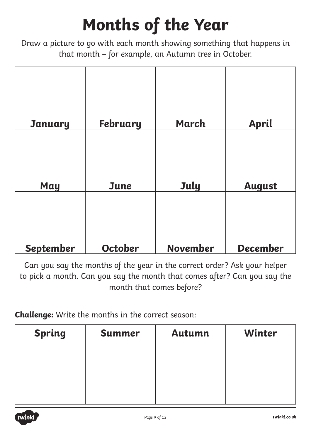# **Months of the Year**

Draw a picture to go with each month showing something that happens in that month – for example, an Autumn tree in October.

| <b>January</b> | <b>February</b> | <b>March</b>    | <b>April</b>    |
|----------------|-----------------|-----------------|-----------------|
| May            | June            | July            | <b>August</b>   |
| September      | October         | <b>November</b> | <b>December</b> |

Can you say the months of the year in the correct order? Ask your helper to pick a month. Can you say the month that comes after? Can you say the month that comes before?

**Challenge:** Write the months in the correct season:

| <b>Spring</b> | <b>Summer</b> | <b>Autumn</b> | Winter |
|---------------|---------------|---------------|--------|
|               |               |               |        |
|               |               |               |        |
|               |               |               |        |

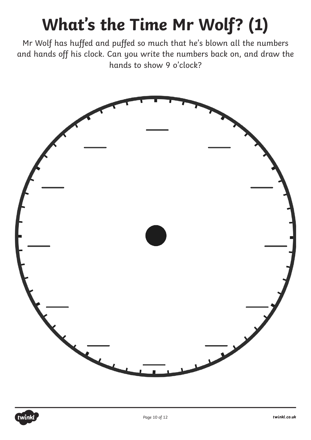# **What's the Time Mr Wolf? (1)**

Mr Wolf has huffed and puffed so much that he's blown all the numbers and hands off his clock. Can you write the numbers back on, and draw the hands to show 9 o'clock?



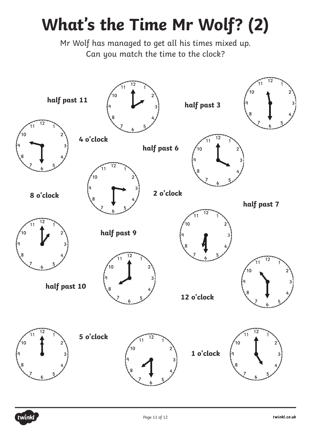## **What's the Time Mr Wolf? (2)**

Mr Wolf has managed to get all his times mixed up. Can you match the time to the clock?